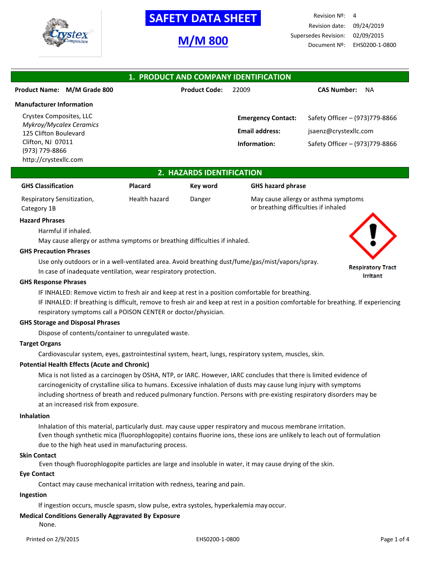

# **SAFETY DATA SHEET**

# **M/M 800**

Revision Nº: 4 Revision date: 09/24/2019 Supersedes Revision: 02/09/2015 Document Nº: EHS0200-1-0800

| 1. PRODUCT AND COMPANY IDENTIFICATION            |                      |                           |                                 |  |
|--------------------------------------------------|----------------------|---------------------------|---------------------------------|--|
| Product Name: M/M Grade 800                      | <b>Product Code:</b> | 22009                     | <b>CAS Number:</b><br><b>NA</b> |  |
| <b>Manufacturer Information</b>                  |                      |                           |                                 |  |
| Crystex Composites, LLC                          |                      | <b>Emergency Contact:</b> | Safety Officer - (973)779-8866  |  |
| Mykroy/Mycalex Ceramics<br>125 Clifton Boulevard |                      | <b>Email address:</b>     | jsaenz@crystexllc.com           |  |
| Clifton, NJ 07011                                |                      | Information:              | Safety Officer - (973)779-8866  |  |
| (973) 779-8866<br>http://crystexllc.com          |                      |                           |                                 |  |

### **2. HAZARDS IDENTIFICATION**

| <b>GHS Classification</b>  | <b>Placard</b> | Key word | <b>GHS hazard phrase</b>             |
|----------------------------|----------------|----------|--------------------------------------|
| Respiratory Sensitization, | Health hazard  | Danger   | May cause allergy or asthma symptoms |
| Category 1B                |                |          | or breathing difficulties if inhaled |

#### **Hazard Phrases**

Harmful if inhaled.

May cause allergy or asthma symptoms or breathing difficulties if inhaled.

#### **GHS Precaution Phrases**

Use only outdoors or in a well-ventilated area. Avoid breathing dust/fume/gas/mist/vapors/spray.

In case of inadequate ventilation, wear respiratory protection.

#### **GHS Response Phrases**

IF INHALED: Remove victim to fresh air and keep at rest in a position comfortable for breathing.

IF INHALED: If breathing is difficult, remove to fresh air and keep at rest in a position comfortable for breathing. If experiencing respiratory symptoms call a POISON CENTER or doctor/physician.

#### **GHS Storage and Disposal Phrases**

Dispose of contents/container to unregulated waste.

### **Target Organs**

Cardiovascular system, eyes, gastrointestinal system, heart, lungs, respiratory system, muscles, skin.

#### **Potential Health Effects (Acute and Chronic)**

Mica is not listed as a carcinogen by OSHA, NTP, or IARC. However, IARC concludes that there is limited evidence of carcinogenicity of crystalline silica to humans. Excessive inhalation of dusts may cause lung injury with symptoms including shortness of breath and reduced pulmonary function. Persons with pre-existing respiratory disorders may be at an increased risk from exposure.

#### **Inhalation**

Inhalation of this material, particularly dust. may cause upper respiratory and mucous membrane irritation. Even though synthetic mica (fluorophlogopite) contains fluorine ions, these ions are unlikely to leach out of formulation due to the high heat used in manufacturing process.

#### **Skin Contact**

Even though fluorophlogopite particles are large and insoluble in water, it may cause drying of the skin.

#### **Eye Contact**

Contact may cause mechanical irritation with redness, tearing and pain.

#### **Ingestion**

If ingestion occurs, muscle spasm, slow pulse, extra systoles, hyperkalemia may occur.

## **Medical Conditions Generally Aggravated By Exposure**

None.

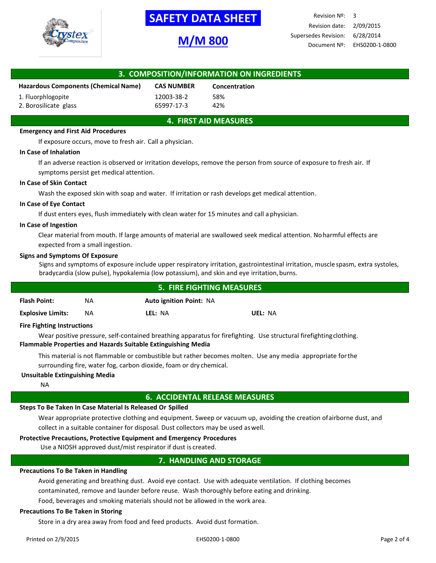

# **-SAFETY DATA SHEET-**

# **M/M 800**

Revision Nº: 3 Revision date: 2/09/2015 Supersedes Revision: 6/28/2014 Document Nº: EHS0200-1-0800

| 3. COMPOSITION/INFORMATION ON INGREDIENTS |                   |               |  |
|-------------------------------------------|-------------------|---------------|--|
| Hazardous Components (Chemical Name)      | <b>CAS NUMBER</b> | Concentration |  |
| 1. Fluorphlogopite                        | 12003-38-2        | 58%           |  |
| 2. Borosilicate glass                     | 65997-17-3        | 42%           |  |

## **4. FIRST AID MEASURES**

#### **Emergency and First Aid Procedures**

If exposure occurs, move to fresh air. Call a physician.

#### **In Case of Inhalation**

If an adverse reaction is observed or irritation develops, remove the person from source of exposure to fresh air. If symptoms persist get medical attention.

#### **In Case of Skin Contact**

Wash the exposed skin with soap and water. If irritation or rash develops get medical attention.

#### **In Case of Eye Contact**

If dust enters eyes, flush immediately with clean water for 15 minutes and call aphysician.

#### **In Case of Ingestion**

Clear material from mouth. If large amounts of material are swallowed seek medical attention. Noharmful effects are expected from a small ingestion.

#### **Signs and Symptoms Of Exposure**

Signs and symptoms of exposure include upper respiratory irritation, gastrointestinal irritation, muscle spasm, extra systoles, bradycardia (slow pulse), hypokalemia (low potassium), and skin and eye irritation,burns.

| <b>5. FIRE FIGHTING MEASURES</b> |           |                                |         |
|----------------------------------|-----------|--------------------------------|---------|
| <b>Flash Point:</b>              | <b>NA</b> | <b>Auto ignition Point: NA</b> |         |
| <b>Explosive Limits:</b>         | <b>NA</b> | LEL: NA                        | UEL: NA |

#### **Fire Fighting Instructions**

Wear positive pressure, self-contained breathing apparatus for firefighting. Use structural firefightingclothing. **Flammable Properties and Hazards Suitable Extinguishing Media**

This material is not flammable or combustible but rather becomes molten. Use any media appropriate forthe surrounding fire, water fog, carbon dioxide, foam or dry chemical.

#### **Unsuitable Extinguishing Media**

NA

#### **6. ACCIDENTAL RELEASE MEASURES**

#### **Steps To Be Taken In Case Material Is Released Or Spilled**

Wear appropriate protective clothing and equipment. Sweep or vacuum up, avoiding the creation ofairborne dust, and collect in a suitable container for disposal. Dust collectors may be used aswell.

#### **Protective Precautions, Protective Equipment and Emergency Procedures**

Use a NIOSH approved dust/mist respirator if dust is created.

### **7. HANDLING AND STORAGE**

#### **Precautions To Be Taken in Handling**

Avoid generating and breathing dust. Avoid eye contact. Use with adequate ventilation. If clothing becomes contaminated, remove and launder before reuse. Wash thoroughly before eating and drinking. Food, beverages and smoking materials should not be allowed in the work area.

#### **Precautions To Be Taken in Storing**

Store in a dry area away from food and feed products. Avoid dust formation.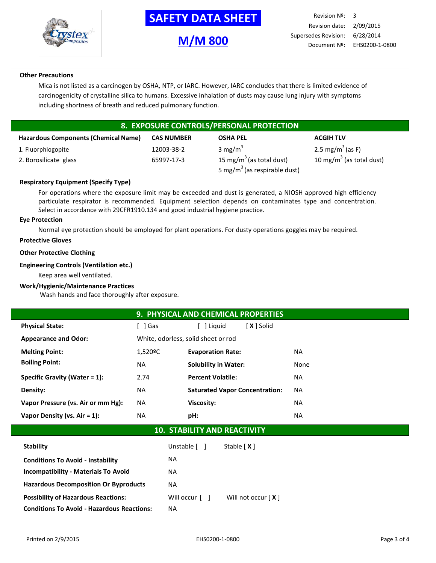

# **-SAFETY DATA SHEET-**

# **M/M 800**

### **Other Precautions**

Mica is not listed as a carcinogen by OSHA, NTP, or IARC. However, IARC concludes that there is limited evidence of carcinogenicity of crystalline silica to humans. Excessive inhalation of dusts may cause lung injury with symptoms including shortness of breath and reduced pulmonary function.

# **8. EXPOSURE CONTROLS/PERSONAL PROTECTION**

| <b>Hazardous Components (Chemical Name)</b> | <b>CAS NUMBER</b> | <b>OSHA PEL</b>                          | <b>ACGIH TLV</b>                     |
|---------------------------------------------|-------------------|------------------------------------------|--------------------------------------|
| 1. Fluorphlogopite                          | 12003-38-2        | 3 mg/m <sup>3</sup>                      | 2.5 mg/m <sup>3</sup> (as F)         |
| 2. Borosilicate glass                       | 65997-17-3        | 15 mg/m <sup>3</sup> (as total dust)     | 10 mg/m <sup>3</sup> (as total dust) |
|                                             |                   | 5 mg/m <sup>3</sup> (as respirable dust) |                                      |

### **Respiratory Equipment (Specify Type)**

For operations where the exposure limit may be exceeded and dust is generated, a NIOSH approved high efficiency particulate respirator is recommended. Equipment selection depends on contaminates type and concentration. Select in accordance with 29CFR1910.134 and good industrial hygiene practice.

### **Eye Protection**

Normal eye protection should be employed for plant operations. For dusty operations goggles may be required.

### **Protective Gloves**

#### **Other Protective Clothing**

#### **Engineering Controls (Ventilation etc.)**

Keep area well ventilated.

#### **Work/Hygienic/Maintenance Practices**

Wash hands and face thoroughly after exposure.

|                                    |                                     | 9. PHYSICAL AND CHEMICAL PROPERTIES   |      |
|------------------------------------|-------------------------------------|---------------------------------------|------|
| <b>Physical State:</b>             | i 1 Gas                             | X   Solid<br>l Liguid                 |      |
| <b>Appearance and Odor:</b>        | White, odorless, solid sheet or rod |                                       |      |
| <b>Melting Point:</b>              | 1,520 <sup>o</sup> C                | <b>Evaporation Rate:</b>              | NA   |
| <b>Boiling Point:</b>              | NA                                  | <b>Solubility in Water:</b>           | None |
| Specific Gravity (Water $= 1$ ):   | 2.74                                | <b>Percent Volatile:</b>              | NA.  |
| Density:                           | NA                                  | <b>Saturated Vapor Concentration:</b> | NA.  |
| Vapor Pressure (vs. Air or mm Hg): | NA.                                 | Viscosity:                            | NA.  |
| Vapor Density (vs. $Air = 1$ ):    | NA.                                 | pH:                                   | NA   |

# **10. STABILITY AND REACTIVITY**

| <b>Stability</b>                                  | Unstable [ ]                 | Stable $[X]$         |
|---------------------------------------------------|------------------------------|----------------------|
| <b>Conditions To Avoid - Instability</b>          | NA.                          |                      |
| <b>Incompatibility - Materials To Avoid</b>       | NA.                          |                      |
| <b>Hazardous Decomposition Or Byproducts</b>      | NA.                          |                      |
| <b>Possibility of Hazardous Reactions:</b>        | Will occur $\lceil$ $\rceil$ | Will not occur $[X]$ |
| <b>Conditions To Avoid - Hazardous Reactions:</b> | <b>NA</b>                    |                      |